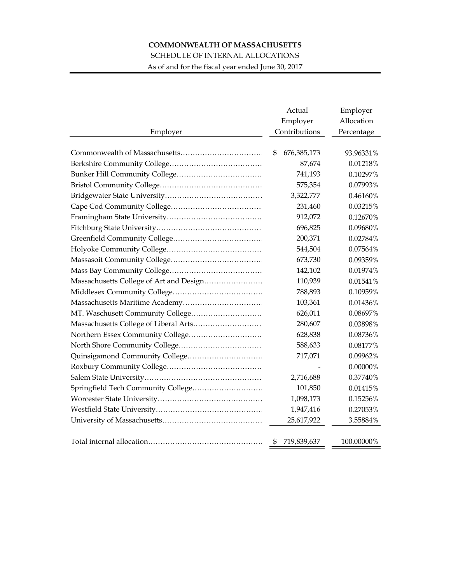## **COMMONWEALTH OF MASSACHUSETTS**

## SCHEDULE OF INTERNAL ALLOCATIONS

As of and for the fiscal year ended June 30, 2017

|                                         | Actual             | Employer   |  |
|-----------------------------------------|--------------------|------------|--|
|                                         | Employer           | Allocation |  |
| Employer                                | Contributions      | Percentage |  |
|                                         |                    |            |  |
|                                         | 676, 385, 173<br>S | 93.96331%  |  |
|                                         | 87,674             | 0.01218%   |  |
|                                         | 741,193            | 0.10297%   |  |
|                                         | 575,354            | 0.07993%   |  |
|                                         | 3,322,777          | 0.46160%   |  |
|                                         | 231,460            | 0.03215%   |  |
|                                         | 912,072            | 0.12670%   |  |
|                                         | 696,825            | 0.09680%   |  |
|                                         | 200,371            | 0.02784%   |  |
|                                         | 544,504            | 0.07564%   |  |
|                                         | 673,730            | 0.09359%   |  |
|                                         | 142,102            | 0.01974%   |  |
| Massachusetts College of Art and Design | 110,939            | 0.01541%   |  |
|                                         | 788,893            | 0.10959%   |  |
|                                         | 103,361            | 0.01436%   |  |
|                                         | 626,011            | 0.08697%   |  |
|                                         | 280,607            | 0.03898%   |  |
|                                         | 628,838            | 0.08736%   |  |
|                                         | 588,633            | 0.08177%   |  |
| Quinsigamond Community College          | 717,071            | 0.09962%   |  |
|                                         |                    | 0.00000%   |  |
|                                         | 2,716,688          | 0.37740%   |  |
| Springfield Tech Community College      | 101,850            | 0.01415%   |  |
|                                         | 1,098,173          | 0.15256%   |  |
|                                         | 1,947,416          | 0.27053%   |  |
|                                         | 25,617,922         | 3.55884%   |  |
|                                         |                    |            |  |
|                                         | \$<br>719,839,637  | 100.00000% |  |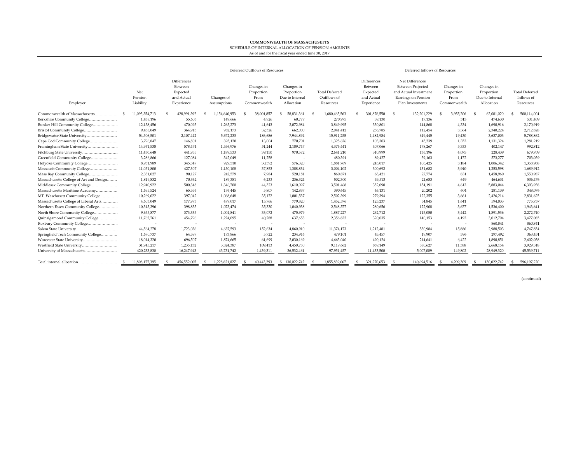## **COMMONWEALTH OF MASSACHUSETTS** SCHEDULE OF INTERNAL ALLOCATION OF PENSION AMOUNTS As of and for the fiscal year ended June 30, 2017

|                                         |                             | Deferred Outflows of Resources                                 |                           |                                                  |                                                           | Deferred Inflows of Resources                     |                                                                |                                                                                                          |                                                  |                                                           |                                                  |
|-----------------------------------------|-----------------------------|----------------------------------------------------------------|---------------------------|--------------------------------------------------|-----------------------------------------------------------|---------------------------------------------------|----------------------------------------------------------------|----------------------------------------------------------------------------------------------------------|--------------------------------------------------|-----------------------------------------------------------|--------------------------------------------------|
| Employer                                | Net<br>Pension<br>Liability | Differences<br>Between<br>Expected<br>and Actual<br>Experience | Changes of<br>Assumptions | Changes in<br>Proportion<br>From<br>Commonwealth | Changes in<br>Proportion<br>Due to Internal<br>Allocation | <b>Total Deferred</b><br>Outflows of<br>Resources | Differences<br>Between<br>Expected<br>and Actual<br>Experience | Net Differences<br>Between Projected<br>and Actual Investment<br>Earnings on Pension<br>Plan Investments | Changes in<br>Proportion<br>From<br>Commonwealth | Changes in<br>Proportion<br>Due to Internal<br>Allocation | <b>Total Deferred</b><br>Inflows of<br>Resources |
| Commonwealth of Massachusetts           | 11.095.354.713              | 428.991.392                                                    | 1.154.640.953             | 38,001.857                                       | 58.831.361                                                | 1.680.465.563                                     | 301.876.550                                                    | 132,201,229                                                                                              | 3.955.206                                        | 62,081,020                                                | 500,114,004                                      |
| Berkshire Community College             | 1,438,196                   | 55,606                                                         | 149,666                   | 4,926                                            | 60,777                                                    | 270,975                                           | 39,130                                                         | 17,136                                                                                                   | 513                                              | 474,630                                                   | 531,409                                          |
| Bunker Hill Community College           | 12,158,456                  | 470,095                                                        | 1,265,273                 | 41,643                                           | 2,072,984                                                 | 3,849,995                                         | 330,801                                                        | 144,868                                                                                                  | 4,334                                            | 1,690,916                                                 | 2,170,919                                        |
|                                         | 9,438,049                   | 364,913                                                        | 982,173                   | 32,326                                           | 662,000                                                   | 2,041,412                                         | 256,785                                                        | 112,454                                                                                                  | 3.364                                            | 2,340,224                                                 | 2,712,828                                        |
| Bridgewater State University            | 54,506,501                  | 2,107,442                                                      | 5,672,233                 | 186,686                                          | 7,944,894                                                 | 15,911,255                                        | 1,482,984                                                      | 649,445                                                                                                  | 19,430                                           | 3,637,003                                                 | 5,788,862                                        |
| Cape Cod Community College              | 3,796,847                   | 146,801                                                        | 395,120                   | 13,004                                           | 770,701                                                   | 1,325,626                                         | 103,303                                                        | 45,239                                                                                                   | 1,353                                            | 1,131,324                                                 | 1,281,219                                        |
| Framingham State University             | 14,961,538                  | 578,474                                                        | 1,556,976                 | 51,244                                           | 2,189,747                                                 | 4,376,441                                         | 407,066                                                        | 178,267                                                                                                  | 5.333                                            | 402,147                                                   | 992,812                                          |
| Fitchburg State University              | 11,430,648                  | 441,955                                                        | 1,189,533                 | 39,150                                           | 970,572                                                   | 2,641,210                                         | 310,999                                                        | 136,196                                                                                                  | 4.075                                            | 228,439                                                   | 679,709                                          |
| Greenfield Community College            | 3,286,866                   | 127,084                                                        | 342,049                   | 11,258                                           |                                                           | 480,391                                           | 89,427                                                         | 39,163                                                                                                   | 1,172                                            | 573,277                                                   | 703,039                                          |
| Holyoke Community College               | 8,931,989                   | 345,347                                                        | 929,510                   | 30,592                                           | 576,320                                                   | 1,881,769                                         | 243,017                                                        | 106,425                                                                                                  | 3,184                                            | 1,006,342                                                 | 1,358,968                                        |
| Massasoit Community College             | 11,051,800                  | 427,307                                                        | 1,150,108                 | 37,853                                           | 1,388,834                                                 | 3,004,102                                         | 300,692                                                        | 131,682                                                                                                  | 3,940                                            | 1,253,598                                                 | 1,689,912                                        |
| Mass Bay Community College              | 2,331,027                   | 90,127                                                         | 242,579                   | 7,984                                            | 520,181                                                   | 860,871                                           | 63,421                                                         | 27,774                                                                                                   | 831                                              | 1,458,960                                                 | 1,550,987                                        |
| Massachusetts College of Art and Design | 1,819,832                   | 70.362                                                         | 189,381                   | 6,233                                            | 236,324                                                   | 502,300                                           | 49,513                                                         | 21,683                                                                                                   | 649                                              | 464,631                                                   | 536,476                                          |
| Middlesex Community College             | 12,940,922                  | 500,348                                                        | 1,346,700                 | 44,323                                           | 1,610,097                                                 | 3,501,468                                         | 352,090                                                        | 154,191                                                                                                  | 4,613                                            | 5,883,044                                                 | 6,393,938                                        |
| Massachusetts Maritime Academy          | 1,695,524                   | 65,556                                                         | 176,445                   | 5,807                                            | 142,837                                                   | 390,645                                           | 46,131                                                         | 20,202                                                                                                   | 604                                              | 281,139                                                   | 348,076                                          |
| MT. Waschusett Community College        | 10,269,022                  | 397,042                                                        | 1,068,648                 | 35,172                                           | 1,001,537                                                 | 2,502,399                                         | 279,394                                                        | 122,355                                                                                                  | 3,661                                            | 2,426,214                                                 | 2,831,625                                        |
| Massachusetts College of Liberal Arts   | 4,603,049                   | 177,973                                                        | 479,017                   | 15,766                                           | 779,820                                                   | 1,452,576                                         | 125,237                                                        | 54,845                                                                                                   | 1,641                                            | 594,033                                                   | 775,757                                          |
| Northern Essex Community College        | 10,315,396                  | 398,835                                                        | 1,073,474                 | 35,330                                           | 1,040,938                                                 | 2,548,577                                         | 280,656                                                        | 122,908                                                                                                  | 3,677                                            | 1,536,400                                                 | 1,943,641                                        |
| North Shore Community College           | 9,655,877                   | 373,335                                                        | 1,004,841                 | 33,072                                           | 475,979                                                   | 1,887,227                                         | 262,712                                                        | 115,050                                                                                                  | 3.442                                            | 1,891,536                                                 | 2,272,740                                        |
| Quinsigamond Community College          | 11,762,761                  | 454,796                                                        | 1,224,095                 | 40,288                                           | 637,653                                                   | 2,356,832                                         | 320,035                                                        | 140,153                                                                                                  | 4,193                                            | 3,012,704                                                 | 3,477,085                                        |
| Roxbury Community College               |                             |                                                                |                           | $\overline{\phantom{a}}$                         |                                                           |                                                   | $\overline{\phantom{a}}$                                       | $\overline{\phantom{a}}$                                                                                 | $\sim$                                           | 860,841                                                   | 860,841                                          |
|                                         | 44,564,278                  | 1,723,036                                                      | 4,637,593                 | 152,634                                          | 4,860,910                                                 | 11,374,173                                        | 1,212,481                                                      | 530,984                                                                                                  | 15,886                                           | 2,988,503                                                 | 4,747,854                                        |
| Springfield Tech Community College      | 1,670,737                   | 64,597                                                         | 173,866                   | 5,722                                            | 234,916                                                   | 479,101                                           | 45,457                                                         | 19,907                                                                                                   | 596                                              | 297,492                                                   | 363,451                                          |
| Worcester State University              | 18,014,320                  | 696,507                                                        | 1,874,665                 | 61,699                                           | 2,030,169                                                 | 4,663,040                                         | 490,124                                                        | 214,641                                                                                                  | 6,422                                            | 1,890,851                                                 | 2,602,038                                        |
| Westfield State University              | 31,945,217                  | 1,235,132                                                      | 3,324,387                 | 109,413                                          | 4,450,730                                                 | 9,119,662                                         | 869,149                                                        | 380,627                                                                                                  | 11,388                                           | 2,668,154                                                 | 3,929,318                                        |
| University of Massachusetts             | 420,233,830                 | 16,247,943                                                     | 43,731,742                | 1,439,311                                        | 36,532,461                                                | 97,951,457                                        | 11,433,500                                                     | 5,007,089                                                                                                | 149.802                                          | 28,949,320                                                | 45,539,711                                       |
| Total internal allocation               | 11,808,177,395              | 456,552,005                                                    | 1,228,821,027             | 40,443,293                                       | \$130,022,742                                             | 1,855,839,067                                     | 321,270,653                                                    | 140,694,516                                                                                              | 4,209,309                                        | 130,022,742                                               | 596,197,220<br>S                                 |

(continued)